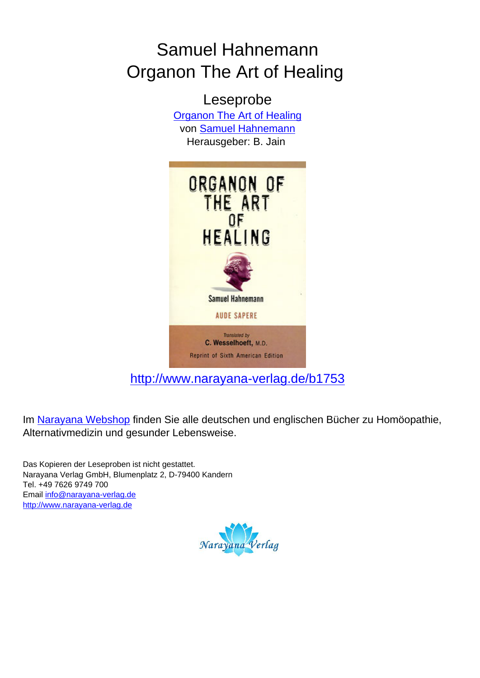# Samuel Hahnemann Organon The Art of Healing



**AUDE SAPERE** 

Translated by C. Wesselhoeft, M.D. **Reprint of Sixth American Edition** 

[http://www.narayana-verlag.de/b1753](http://www.narayana-verlag.de/Organon-The-Art-of-Healing-Samuel-Hahnemann/b1753/partner/leseprobe)

Im [Narayana Webshop](http://www.narayana-verlag.de/partner/leseprobe) finden Sie alle deutschen und englischen Bücher zu Homöopathie, Alternativmedizin und gesunder Lebensweise.

Das Kopieren der Leseproben ist nicht gestattet. Narayana Verlag GmbH, Blumenplatz 2, D-79400 Kandern Tel. +49 7626 9749 700 Email [info@narayana-verlag.de](mailto:info@narayana-verlag.de) [http://www.narayana-verlag.de](http://www.narayana-verlag.de/partner/leseprobe)

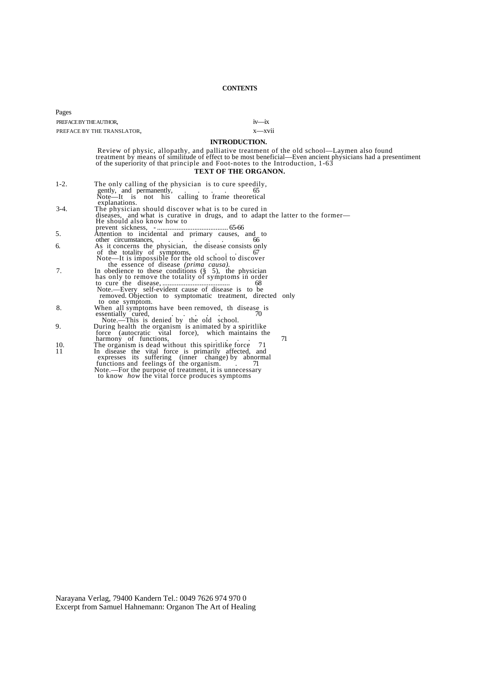Pages

| PREFACE BY THE AUTHOR, |                                                                                                                                                                                                                                                   | <b>1V—1X</b>                                                                                                                                                                                                                         |
|------------------------|---------------------------------------------------------------------------------------------------------------------------------------------------------------------------------------------------------------------------------------------------|--------------------------------------------------------------------------------------------------------------------------------------------------------------------------------------------------------------------------------------|
|                        | PREFACE BY THE TRANSLATOR,                                                                                                                                                                                                                        | x—xvii                                                                                                                                                                                                                               |
|                        |                                                                                                                                                                                                                                                   |                                                                                                                                                                                                                                      |
|                        | <b>INTRODUCTION.</b>                                                                                                                                                                                                                              |                                                                                                                                                                                                                                      |
|                        |                                                                                                                                                                                                                                                   | Review of physic, allopathy, and palliative treatment of the old school—Laymen also found<br>treatment by means of similitude of effect to be most beneficial—Even ancient physicians had a presentiment<br>of the superiority of th |
|                        |                                                                                                                                                                                                                                                   |                                                                                                                                                                                                                                      |
|                        |                                                                                                                                                                                                                                                   |                                                                                                                                                                                                                                      |
|                        |                                                                                                                                                                                                                                                   | TEXT OF THE ORGANON.                                                                                                                                                                                                                 |
|                        |                                                                                                                                                                                                                                                   |                                                                                                                                                                                                                                      |
| $1-2.$                 | The only calling of the physician is to cure speedily,                                                                                                                                                                                            |                                                                                                                                                                                                                                      |
|                        | gently, and permanently, 65<br>Note—It is not his calling to frame theoretical                                                                                                                                                                    |                                                                                                                                                                                                                                      |
|                        | explanation                                                                                                                                                                                                                                       |                                                                                                                                                                                                                                      |
| $3-4.$                 |                                                                                                                                                                                                                                                   |                                                                                                                                                                                                                                      |
|                        | The physician should discover what is to be cured in<br>diseases, and what is curative in drugs, and to adapt the latter to the former—                                                                                                           |                                                                                                                                                                                                                                      |
|                        | He should also know how to                                                                                                                                                                                                                        |                                                                                                                                                                                                                                      |
|                        | $\dots$ 65-66<br>prevent sickness, -                                                                                                                                                                                                              |                                                                                                                                                                                                                                      |
|                        | Attention to incidental and primary causes, and to                                                                                                                                                                                                |                                                                                                                                                                                                                                      |
|                        |                                                                                                                                                                                                                                                   |                                                                                                                                                                                                                                      |
|                        |                                                                                                                                                                                                                                                   |                                                                                                                                                                                                                                      |
|                        |                                                                                                                                                                                                                                                   |                                                                                                                                                                                                                                      |
|                        |                                                                                                                                                                                                                                                   |                                                                                                                                                                                                                                      |
|                        |                                                                                                                                                                                                                                                   |                                                                                                                                                                                                                                      |
|                        |                                                                                                                                                                                                                                                   |                                                                                                                                                                                                                                      |
|                        |                                                                                                                                                                                                                                                   |                                                                                                                                                                                                                                      |
|                        |                                                                                                                                                                                                                                                   |                                                                                                                                                                                                                                      |
|                        | Attention to include the chiral and primary causes, and the<br>other circumstances,<br>As it concerns the physician, the disease consists only<br>of the totality of symptoms,<br>$\frac{67}{100}$<br>Note—It is impossible for the old school to |                                                                                                                                                                                                                                      |
|                        | removed. Objection to symptomatic treatment, directed only                                                                                                                                                                                        |                                                                                                                                                                                                                                      |
|                        |                                                                                                                                                                                                                                                   |                                                                                                                                                                                                                                      |
|                        | to one symptom.<br>When all symptoms have been removed, th disease is<br>essentially cured,<br>Note.—This is denied by the old school.<br>During health the organism is animated by a spiritlike                                                  |                                                                                                                                                                                                                                      |
|                        |                                                                                                                                                                                                                                                   |                                                                                                                                                                                                                                      |
|                        |                                                                                                                                                                                                                                                   |                                                                                                                                                                                                                                      |
|                        |                                                                                                                                                                                                                                                   |                                                                                                                                                                                                                                      |
|                        | force (autocratic vital force), which maintains the harmony of functions,                                                                                                                                                                         |                                                                                                                                                                                                                                      |
|                        |                                                                                                                                                                                                                                                   |                                                                                                                                                                                                                                      |
|                        | The organism is dead without this spiritlike force 71<br>In disease the vital force is primarily affected, and<br>expresses its suffering (inner change) by abnormal<br>functions and feelings of the organism. 71                                |                                                                                                                                                                                                                                      |
|                        |                                                                                                                                                                                                                                                   |                                                                                                                                                                                                                                      |
|                        |                                                                                                                                                                                                                                                   |                                                                                                                                                                                                                                      |
|                        | Note.—For the purpose of treatment, it is unnecessary                                                                                                                                                                                             |                                                                                                                                                                                                                                      |
|                        | to know how the vital force produces symptoms                                                                                                                                                                                                     |                                                                                                                                                                                                                                      |
|                        |                                                                                                                                                                                                                                                   |                                                                                                                                                                                                                                      |

Narayana Verlag, 79400 Kandern Tel.: 0049 7626 974 970 0 Excerpt from Samuel Hahnemann: Organon The Art of Healing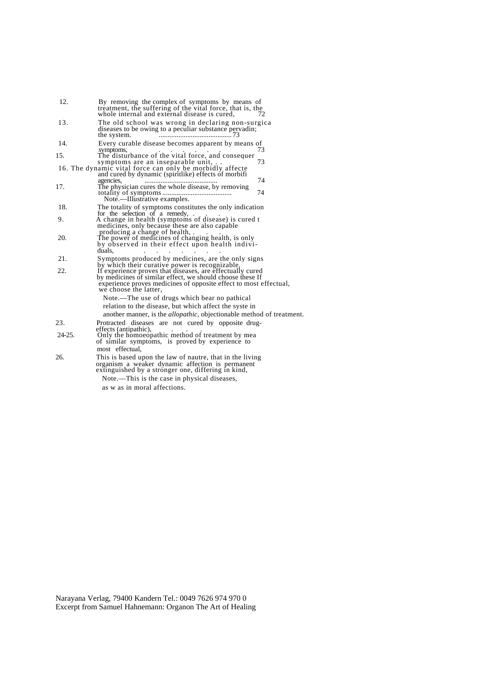| 12.    | By removing the complex of symptoms by means of<br>treatment, the suffering of the vital force, that is, the<br>whole internal and external disease is cured.                                 |  |  |
|--------|-----------------------------------------------------------------------------------------------------------------------------------------------------------------------------------------------|--|--|
| 13.    | The old school was wrong in declaring non-surgica<br>diseases to be owing to a peculiar substance pervadin;<br>the system.                                                                    |  |  |
| 14.    | Every curable disease becomes apparent by means of                                                                                                                                            |  |  |
| 15.    | symptoms,<br>symptoms,<br>The disturbance of the vital force, and consequer<br>73                                                                                                             |  |  |
|        | symptoms are an inseparable unit,<br>16. The dynamic vital force can only be morbidly affecte<br>and cured by dynamic (spiritlike) effects of morbifi                                         |  |  |
| 17.    | 74<br>agencies.<br>The physician cures the whole disease, by removing<br>74<br>totality of symptoms<br>Note —Illustrative examples.                                                           |  |  |
| 18.    | The totality of symptoms constitutes the only indication<br>for the selection of a remedy,                                                                                                    |  |  |
| 9.     | A change in health (symptoms of disease) is cured t<br>medicines, only because these are also capable                                                                                         |  |  |
| 20.    | producing a change of health,.<br>The power of medicines of changing health, is only<br>by observed in their effect upon health indivi-<br>duals.<br>the contract of the contract of the con- |  |  |
| 21     | Symptoms produced by medicines, are the only signs                                                                                                                                            |  |  |
| 22.    | by which their curative power is recognizable,<br>If experience proves that diseases, are effectually cured<br>by medicines of similar effect, we should choose these If                      |  |  |
|        |                                                                                                                                                                                               |  |  |
|        | experience proves medicines of opposite effect to most effectual,<br>we choose the latter,                                                                                                    |  |  |
|        | Note.—The use of drugs which bear no pathical                                                                                                                                                 |  |  |
|        | relation to the disease, but which affect the syste in                                                                                                                                        |  |  |
|        | another manner, is the <i>allopathic</i> , objectionable method of treatment.                                                                                                                 |  |  |
| 23.    | Protracted diseases are not cured by opposite drug-                                                                                                                                           |  |  |
| 24-25. | effects (antipathic),<br>Only the homoeopathic method of treatment by mea                                                                                                                     |  |  |
|        | of similar symptoms, is proved by experience to                                                                                                                                               |  |  |
|        | most effectual,                                                                                                                                                                               |  |  |
| 26.    | This is based upon the law of nautre, that in the living                                                                                                                                      |  |  |
|        | organism a weaker dynamic affection is permanent                                                                                                                                              |  |  |
|        | extinguished by a stronger one, differing in kind,                                                                                                                                            |  |  |
|        | Note.—This is the case in physical diseases,                                                                                                                                                  |  |  |

as w as in moral affections.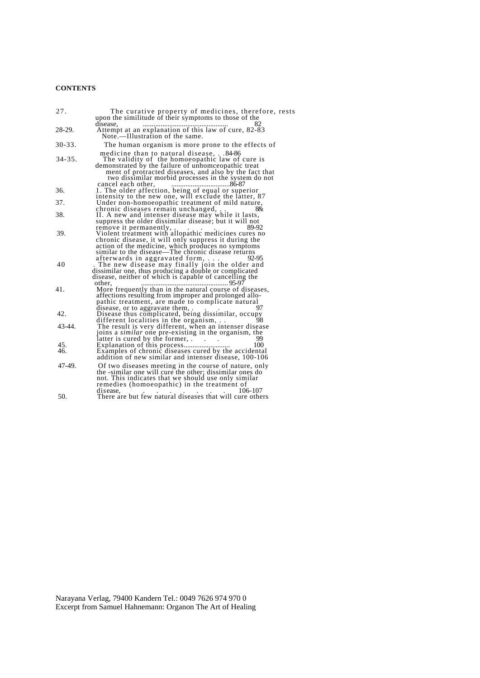|            | The curative property of medicines, therefore, rests<br>upon the similitude of their symptoms to those of the          |  |  |
|------------|------------------------------------------------------------------------------------------------------------------------|--|--|
| 28-29.     | disease.<br>Attempt at an explanation of this law of cure, 82-83<br>Note.—Illustration of the same.                    |  |  |
| $30 - 33.$ | The human organism is more prone to the effects of                                                                     |  |  |
|            | medicine than to natural disease,84-86                                                                                 |  |  |
| $34 - 35.$ | The validity of the homoeopathic law of cure is<br>demonstrated by the failure of unhomoeopathic treat                 |  |  |
|            | ment of protracted diseases, and also by the fact that<br>two dissimilar morbid processes in the system do not         |  |  |
|            | cancel each other,                                                                                                     |  |  |
| 36.        | 1. The older affection, being of equal or superior<br>intensity to the new one, will exclude the latter, 87            |  |  |
| 37.        | Under non-homoeopathic treatment of mild nature,                                                                       |  |  |
|            | chronic diseases remain unchanged,                                                                                     |  |  |
|            | II. A new and intenser disease may while it lasts,                                                                     |  |  |
|            | suppress the older dissimilar disease; but it will not<br>89-92<br>remove it permanently,                              |  |  |
| 39.        | Violent treatment with allopathic medicines cures no                                                                   |  |  |
|            | chronic disease, it will only suppress it during the<br>action of the medicine, which produces no symptoms             |  |  |
|            | similar to the disease—The chronic disease returns                                                                     |  |  |
|            | afterwards in aggravated form,                                                                                         |  |  |
| 40         | . The new disease may finally join the older and                                                                       |  |  |
|            | dissimilar one, thus producing a double or complicated                                                                 |  |  |
|            | disease, neither of which is capable of cancelling the<br>other.                                                       |  |  |
| 41.        | More frequently than in the natural course of diseases,                                                                |  |  |
|            | affections resulting from improper and prolonged allo-                                                                 |  |  |
|            | pathic treatment, are made to complicate natural                                                                       |  |  |
| 42.        | disease, or to aggravate them, the complicated being dissimilar, occupy                                                |  |  |
|            | different localities in the organism,.                                                                                 |  |  |
| $43-44.$   | The result is very different, when an intenser disease<br>joins a <i>similar</i> one pre-existing in the organism, the |  |  |
|            | latter is cured by the former,                                                                                         |  |  |
| 45.        | Explanation of this process                                                                                            |  |  |
| 46.        | Examples of chronic diseases cured by the accidental<br>addition of new similar and intenser disease, 100-106          |  |  |
| $47-49.$   | Of two diseases meeting in the course of nature, only                                                                  |  |  |
|            | the -similar one will cure the other; dissimilar ones do                                                               |  |  |
|            | not. This indicates that we should use only similar                                                                    |  |  |
|            | remedies (homoeopathic) in the treatment of<br>106-107                                                                 |  |  |
| 50.        | disease.<br>There are but few natural diseases that will cure others                                                   |  |  |
|            |                                                                                                                        |  |  |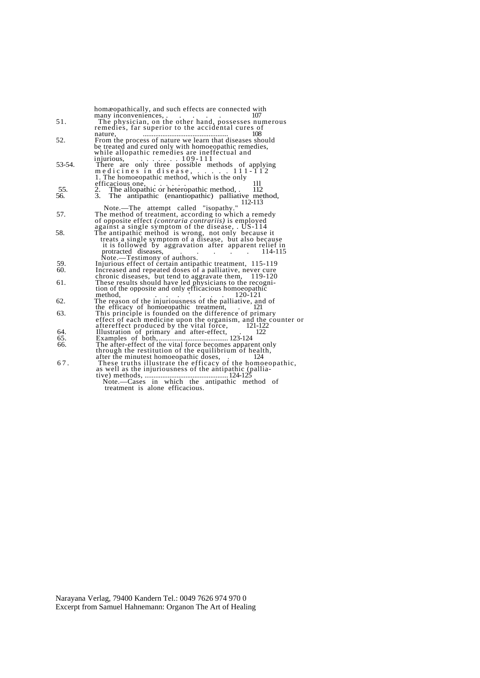|                   | homæopathically, and such effects are connected with                                                                                                                                                                           |
|-------------------|--------------------------------------------------------------------------------------------------------------------------------------------------------------------------------------------------------------------------------|
|                   | many inconveniences,                                                                                                                                                                                                           |
| 51.               | The physician, on the other hand, possesses numerous<br>remedies, far superior to the accidental cures of                                                                                                                      |
|                   |                                                                                                                                                                                                                                |
| 52.               | From the process of nature we learn that diseases should                                                                                                                                                                       |
|                   | be treated and cured only with homoeopathic remedies,                                                                                                                                                                          |
|                   | while allopathic remedies are ineffectual and                                                                                                                                                                                  |
| 53-54.            | injurious, $109-111$<br>There are only three possible methods of applying                                                                                                                                                      |
|                   |                                                                                                                                                                                                                                |
|                   | medicines in disease, $\frac{111-112}{1}$<br>1. The homoeopathic method, which is the only                                                                                                                                     |
|                   | efficacious one, $\ldots$ .                                                                                                                                                                                                    |
| $\frac{55}{56}$ . | The allopathic or heteropathic method, . 112                                                                                                                                                                                   |
|                   | The antipathic (enantiopathic) palliative method,                                                                                                                                                                              |
|                   | 112-113<br>Note.—The attempt called "isopathy.                                                                                                                                                                                 |
| 57.               | The method of treatment, according to which a remedy                                                                                                                                                                           |
|                   | of opposite effect <i>(contraria contrariis)</i> is employed                                                                                                                                                                   |
|                   | against a single symptom of the disease, US-114<br>The antipathic method is wrong, not only because it                                                                                                                         |
| 58.               |                                                                                                                                                                                                                                |
|                   | treats a single symptom of a disease, but also because<br>it is followed by aggravation after apparent relief in                                                                                                               |
|                   | protracted diseases, and the contracted diseases, the contracted diseases, the contracted and the contracted and the contracted and the contracted and the contracted and the contracted and the contracted and the contracted |
|                   | Note.—Testimony of authors.                                                                                                                                                                                                    |
| $\frac{59}{60}$ . | Injurious effect of certain antipathic treatment, 115-119                                                                                                                                                                      |
|                   | Increased and repeated doses of a palliative, never cure                                                                                                                                                                       |
| 61.               | chronic diseases, but tend to aggravate them, 119-120<br>These results should have led physicians to the recogni-                                                                                                              |
|                   | tion of the opposite and only efficacious homoeopathic                                                                                                                                                                         |
|                   | method,<br>The reason of the injuriousness of the palliative, and of                                                                                                                                                           |
| 62.               |                                                                                                                                                                                                                                |
| 63.               | the efficacy of homoeopathic treatment, 121<br>This principle is founded on the difference of primary<br>effect of each medicine upon the organism, and the counter or                                                         |
|                   |                                                                                                                                                                                                                                |
|                   | aftereffect produced by the vital force, 121-122                                                                                                                                                                               |
| 64.               | Illustration of primary and after-effect,<br>122                                                                                                                                                                               |
| 65.<br>66.        | Examples of both<br>123-124                                                                                                                                                                                                    |
|                   | The after-effect of the vital force becomes apparent only<br>through the restitution of the equilibrium of health,                                                                                                             |
|                   | after the minutest homoeopathic doses, .<br>124                                                                                                                                                                                |
| 67.               | These truths illustrate the efficacy of the homoeopathic,                                                                                                                                                                      |
|                   | as well as the injuriousness of the antipathic (pallia-<br>tive) methods.<br>$\ldots$ 124-125                                                                                                                                  |
|                   | Note.—Cases in which the antipathic method of                                                                                                                                                                                  |
|                   | treatment is alone efficacious.                                                                                                                                                                                                |
|                   |                                                                                                                                                                                                                                |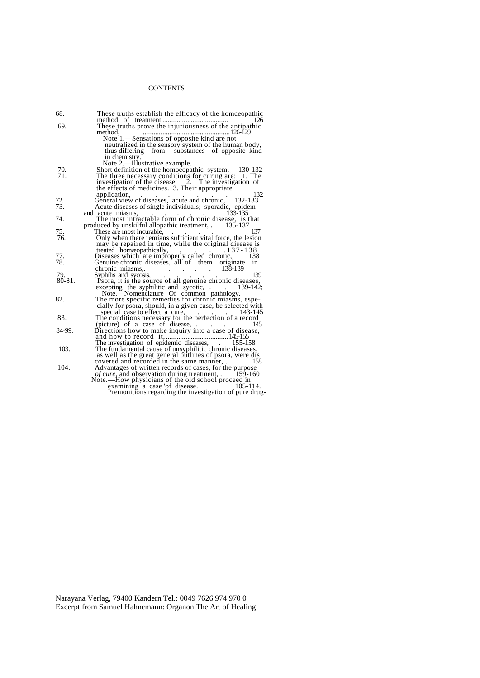|             | These truths establish the efficacy of the homeopathic                                                      |  |  |
|-------------|-------------------------------------------------------------------------------------------------------------|--|--|
|             | method of treatment                                                                                         |  |  |
| 69.         | These truths prove the injuriousness of the antipathic                                                      |  |  |
|             | method.<br>. 126-129                                                                                        |  |  |
|             | Note 1.—Sensations of opposite kind are not                                                                 |  |  |
|             | neutralized in the sensory system of the human body,                                                        |  |  |
|             | thus differing from substances of opposite kind                                                             |  |  |
|             |                                                                                                             |  |  |
|             | in chemistry.<br>Note 2.—Illustrative example.                                                              |  |  |
|             | Short definition of the homoeopathic system, 130-132                                                        |  |  |
| 71.         | The three necessary conditions for curing are: 1. The investigation of the disease. 2. The investigation of |  |  |
|             |                                                                                                             |  |  |
|             | the effects of medicines. 3. Their appropriate                                                              |  |  |
|             | application, $\cdot \cdot \cdot$ and obtain $\cdot \cdot$                                                   |  |  |
|             | General view of diseases, acute and chronic, 132-133                                                        |  |  |
|             | Acute diseases of single individuals; sporadic, epidem                                                      |  |  |
|             | 133-135<br>and acute miasms,<br>the contract of the contract of the                                         |  |  |
|             | The most intractable form of chronic disease, is that                                                       |  |  |
|             | produced by unskilful allopathic treatment, . 135-137                                                       |  |  |
|             | These are most incurable,                                                                                   |  |  |
|             | Only when there remians sufficient vital force, the lesion                                                  |  |  |
|             | may be repaired in time, while the original disease is                                                      |  |  |
|             | $. 137 - 138$<br>treated homeopathically,                                                                   |  |  |
|             | Diseases which are improperly called chronic,                                                               |  |  |
|             | Genuine chronic diseases, all of them originate in chronic miasms, 138-139                                  |  |  |
|             | chronic miasms,.                                                                                            |  |  |
|             | Syphilis and sycosis,<br>139                                                                                |  |  |
| $80 - 81$ . | Psora, it is the source of all genuine chronic diseases,                                                    |  |  |
|             | $139-142;$<br>excepting the syphilitic and sycotic, 13<br>Note.—Nomenclature Of common pathology.           |  |  |
|             |                                                                                                             |  |  |
|             | The more specific remedies for chronic miasms, espe-                                                        |  |  |
|             | cially for psora, should, in a given case, be selected with                                                 |  |  |
|             | 143-145<br>special case to effect a cure,                                                                   |  |  |
| 83.         | The conditions necessary for the perfection of a record                                                     |  |  |
|             | (picture) of a case of disease,                                                                             |  |  |
| 84-99.      | Directions how to make inquiry into a case of disease,                                                      |  |  |
|             | $.145 - 155$<br>and how to record it,                                                                       |  |  |
|             | The investigation of epidemic diseases, 155-158                                                             |  |  |
| 103.        | The fundamental cause of unsyphilitic chronic diseases,                                                     |  |  |
|             | as well as the great general outlines of psora, were dis-                                                   |  |  |
|             | covered and recorded in the same manner.                                                                    |  |  |
| 104.        | Advantages of written records of cases, for the purpose                                                     |  |  |
|             | <i>of cure</i> , and observation during treatment, . 159-160                                                |  |  |
|             | Note.—How physicians of the old school proceed in                                                           |  |  |
|             | examining a case 'of disease.<br>105-114.                                                                   |  |  |
|             | Premonitions regarding the investigation of pure drug-                                                      |  |  |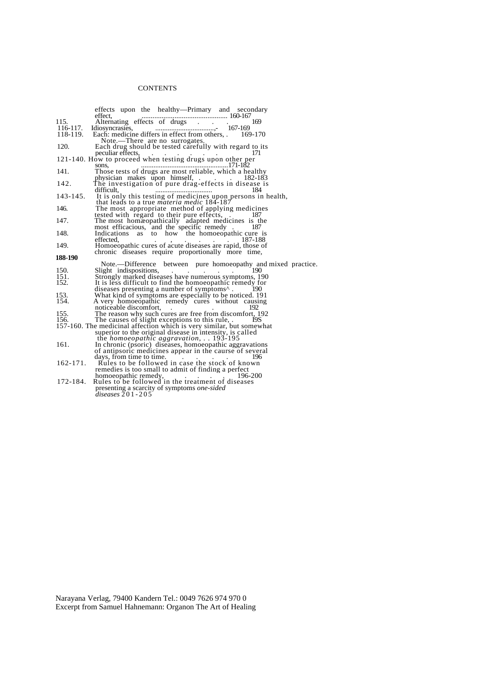| 160-167<br>effect,<br>Alternating effects of drugs<br>169<br>167-169<br>Idiosyncrasies.<br>Each: medicine differs in effect from others, . 169-170<br>Note.—There are no surrogates.<br>Each drug should be tested carefully with regard to its<br>peculiar effects,<br>$\mathcal{A}$ , and $\mathcal{A}$ , and $\mathcal{A}$ , and $\mathcal{A}$ , and $\mathcal{A}$ , and $\mathcal{A}$<br>121-140. How to proceed when testing drugs upon other per<br>.171-182<br>sons.<br>Those tests of drugs are most reliable, which a healthy<br>182-183<br>physician makes upon himself,<br>The investigation of pure drag-effects in disease is<br>difficult.<br>It is only this testing of medicines upon persons in health,<br>that leads to a true <i>materia medic</i> 184-187<br>The most appropriate method of applying medicines<br>tested with regard to their pure effects,<br>The most homeopathically adapted medicines is the<br>187<br>most efficacious, and the specific remedy<br>Indications as to how the homoeopathic cure is<br>187-188<br>effected,<br>$\sim$ $\sim$ $\sim$ $\sim$ $\sim$ $\sim$<br>Homoeopathic cures of acute diseases are rapid, those of<br>chronic diseases require proportionally more time,<br>Note.—Difference between pure homoeopathy and mixed practice.<br>190<br>Slight indispositions,<br>Strongly marked diseases have numerous symptoms, 190<br>It is less difficult to find the homoeopathic remedy for<br>diseases presenting a number of symptoms <sup>^</sup> .<br>190<br>What kind of symptoms are especially to be noticed. 191<br>A very homoeopathic remedy cures without causing<br>noticeable discomfort,<br>The reason why such cures are free from discomfort, 192<br>The causes of slight exceptions to this rule, .<br>19S<br>157-160. The medicinal affection which is very similar, but somewhat<br>superior to the original disease in intensity, is called<br>the <i>homoeopathic aggravation</i> , $\ldots$ 193-195<br>In chronic (psoric) diseases, homoeopathic aggravations<br>of antipsoric medicines appear in the caurse of several<br>days, from time to time.<br>196<br>Rules to be followed in case the stock of known<br>remedies is too small to admit of finding a perfect<br>196-200<br>homoeopathic remedy,<br>the contract of the contract of the<br>172-184. Rules to be followed in the treatment of diseases<br>presenting a scarcity of symptoms <i>one-sided</i><br>diseases $201 - 205$ |                 | effects upon the healthy-Primary and secondary |  |
|--------------------------------------------------------------------------------------------------------------------------------------------------------------------------------------------------------------------------------------------------------------------------------------------------------------------------------------------------------------------------------------------------------------------------------------------------------------------------------------------------------------------------------------------------------------------------------------------------------------------------------------------------------------------------------------------------------------------------------------------------------------------------------------------------------------------------------------------------------------------------------------------------------------------------------------------------------------------------------------------------------------------------------------------------------------------------------------------------------------------------------------------------------------------------------------------------------------------------------------------------------------------------------------------------------------------------------------------------------------------------------------------------------------------------------------------------------------------------------------------------------------------------------------------------------------------------------------------------------------------------------------------------------------------------------------------------------------------------------------------------------------------------------------------------------------------------------------------------------------------------------------------------------------------------------------------------------------------------------------------------------------------------------------------------------------------------------------------------------------------------------------------------------------------------------------------------------------------------------------------------------------------------------------------------------------------------------------------------------------------------------------------------------------------------------------------------------------------------------|-----------------|------------------------------------------------|--|
|                                                                                                                                                                                                                                                                                                                                                                                                                                                                                                                                                                                                                                                                                                                                                                                                                                                                                                                                                                                                                                                                                                                                                                                                                                                                                                                                                                                                                                                                                                                                                                                                                                                                                                                                                                                                                                                                                                                                                                                                                                                                                                                                                                                                                                                                                                                                                                                                                                                                                |                 |                                                |  |
|                                                                                                                                                                                                                                                                                                                                                                                                                                                                                                                                                                                                                                                                                                                                                                                                                                                                                                                                                                                                                                                                                                                                                                                                                                                                                                                                                                                                                                                                                                                                                                                                                                                                                                                                                                                                                                                                                                                                                                                                                                                                                                                                                                                                                                                                                                                                                                                                                                                                                | 116-117.        |                                                |  |
|                                                                                                                                                                                                                                                                                                                                                                                                                                                                                                                                                                                                                                                                                                                                                                                                                                                                                                                                                                                                                                                                                                                                                                                                                                                                                                                                                                                                                                                                                                                                                                                                                                                                                                                                                                                                                                                                                                                                                                                                                                                                                                                                                                                                                                                                                                                                                                                                                                                                                | $118 - 119.$    |                                                |  |
|                                                                                                                                                                                                                                                                                                                                                                                                                                                                                                                                                                                                                                                                                                                                                                                                                                                                                                                                                                                                                                                                                                                                                                                                                                                                                                                                                                                                                                                                                                                                                                                                                                                                                                                                                                                                                                                                                                                                                                                                                                                                                                                                                                                                                                                                                                                                                                                                                                                                                |                 |                                                |  |
|                                                                                                                                                                                                                                                                                                                                                                                                                                                                                                                                                                                                                                                                                                                                                                                                                                                                                                                                                                                                                                                                                                                                                                                                                                                                                                                                                                                                                                                                                                                                                                                                                                                                                                                                                                                                                                                                                                                                                                                                                                                                                                                                                                                                                                                                                                                                                                                                                                                                                | 120.            |                                                |  |
|                                                                                                                                                                                                                                                                                                                                                                                                                                                                                                                                                                                                                                                                                                                                                                                                                                                                                                                                                                                                                                                                                                                                                                                                                                                                                                                                                                                                                                                                                                                                                                                                                                                                                                                                                                                                                                                                                                                                                                                                                                                                                                                                                                                                                                                                                                                                                                                                                                                                                |                 |                                                |  |
|                                                                                                                                                                                                                                                                                                                                                                                                                                                                                                                                                                                                                                                                                                                                                                                                                                                                                                                                                                                                                                                                                                                                                                                                                                                                                                                                                                                                                                                                                                                                                                                                                                                                                                                                                                                                                                                                                                                                                                                                                                                                                                                                                                                                                                                                                                                                                                                                                                                                                |                 |                                                |  |
|                                                                                                                                                                                                                                                                                                                                                                                                                                                                                                                                                                                                                                                                                                                                                                                                                                                                                                                                                                                                                                                                                                                                                                                                                                                                                                                                                                                                                                                                                                                                                                                                                                                                                                                                                                                                                                                                                                                                                                                                                                                                                                                                                                                                                                                                                                                                                                                                                                                                                | 141.            |                                                |  |
|                                                                                                                                                                                                                                                                                                                                                                                                                                                                                                                                                                                                                                                                                                                                                                                                                                                                                                                                                                                                                                                                                                                                                                                                                                                                                                                                                                                                                                                                                                                                                                                                                                                                                                                                                                                                                                                                                                                                                                                                                                                                                                                                                                                                                                                                                                                                                                                                                                                                                | 142.            |                                                |  |
|                                                                                                                                                                                                                                                                                                                                                                                                                                                                                                                                                                                                                                                                                                                                                                                                                                                                                                                                                                                                                                                                                                                                                                                                                                                                                                                                                                                                                                                                                                                                                                                                                                                                                                                                                                                                                                                                                                                                                                                                                                                                                                                                                                                                                                                                                                                                                                                                                                                                                |                 |                                                |  |
|                                                                                                                                                                                                                                                                                                                                                                                                                                                                                                                                                                                                                                                                                                                                                                                                                                                                                                                                                                                                                                                                                                                                                                                                                                                                                                                                                                                                                                                                                                                                                                                                                                                                                                                                                                                                                                                                                                                                                                                                                                                                                                                                                                                                                                                                                                                                                                                                                                                                                | 143-145.        |                                                |  |
|                                                                                                                                                                                                                                                                                                                                                                                                                                                                                                                                                                                                                                                                                                                                                                                                                                                                                                                                                                                                                                                                                                                                                                                                                                                                                                                                                                                                                                                                                                                                                                                                                                                                                                                                                                                                                                                                                                                                                                                                                                                                                                                                                                                                                                                                                                                                                                                                                                                                                |                 |                                                |  |
|                                                                                                                                                                                                                                                                                                                                                                                                                                                                                                                                                                                                                                                                                                                                                                                                                                                                                                                                                                                                                                                                                                                                                                                                                                                                                                                                                                                                                                                                                                                                                                                                                                                                                                                                                                                                                                                                                                                                                                                                                                                                                                                                                                                                                                                                                                                                                                                                                                                                                | 146.            |                                                |  |
|                                                                                                                                                                                                                                                                                                                                                                                                                                                                                                                                                                                                                                                                                                                                                                                                                                                                                                                                                                                                                                                                                                                                                                                                                                                                                                                                                                                                                                                                                                                                                                                                                                                                                                                                                                                                                                                                                                                                                                                                                                                                                                                                                                                                                                                                                                                                                                                                                                                                                | l47.            |                                                |  |
|                                                                                                                                                                                                                                                                                                                                                                                                                                                                                                                                                                                                                                                                                                                                                                                                                                                                                                                                                                                                                                                                                                                                                                                                                                                                                                                                                                                                                                                                                                                                                                                                                                                                                                                                                                                                                                                                                                                                                                                                                                                                                                                                                                                                                                                                                                                                                                                                                                                                                |                 |                                                |  |
|                                                                                                                                                                                                                                                                                                                                                                                                                                                                                                                                                                                                                                                                                                                                                                                                                                                                                                                                                                                                                                                                                                                                                                                                                                                                                                                                                                                                                                                                                                                                                                                                                                                                                                                                                                                                                                                                                                                                                                                                                                                                                                                                                                                                                                                                                                                                                                                                                                                                                | 148.            |                                                |  |
|                                                                                                                                                                                                                                                                                                                                                                                                                                                                                                                                                                                                                                                                                                                                                                                                                                                                                                                                                                                                                                                                                                                                                                                                                                                                                                                                                                                                                                                                                                                                                                                                                                                                                                                                                                                                                                                                                                                                                                                                                                                                                                                                                                                                                                                                                                                                                                                                                                                                                | 149.            |                                                |  |
|                                                                                                                                                                                                                                                                                                                                                                                                                                                                                                                                                                                                                                                                                                                                                                                                                                                                                                                                                                                                                                                                                                                                                                                                                                                                                                                                                                                                                                                                                                                                                                                                                                                                                                                                                                                                                                                                                                                                                                                                                                                                                                                                                                                                                                                                                                                                                                                                                                                                                |                 |                                                |  |
|                                                                                                                                                                                                                                                                                                                                                                                                                                                                                                                                                                                                                                                                                                                                                                                                                                                                                                                                                                                                                                                                                                                                                                                                                                                                                                                                                                                                                                                                                                                                                                                                                                                                                                                                                                                                                                                                                                                                                                                                                                                                                                                                                                                                                                                                                                                                                                                                                                                                                |                 |                                                |  |
|                                                                                                                                                                                                                                                                                                                                                                                                                                                                                                                                                                                                                                                                                                                                                                                                                                                                                                                                                                                                                                                                                                                                                                                                                                                                                                                                                                                                                                                                                                                                                                                                                                                                                                                                                                                                                                                                                                                                                                                                                                                                                                                                                                                                                                                                                                                                                                                                                                                                                |                 |                                                |  |
|                                                                                                                                                                                                                                                                                                                                                                                                                                                                                                                                                                                                                                                                                                                                                                                                                                                                                                                                                                                                                                                                                                                                                                                                                                                                                                                                                                                                                                                                                                                                                                                                                                                                                                                                                                                                                                                                                                                                                                                                                                                                                                                                                                                                                                                                                                                                                                                                                                                                                |                 |                                                |  |
|                                                                                                                                                                                                                                                                                                                                                                                                                                                                                                                                                                                                                                                                                                                                                                                                                                                                                                                                                                                                                                                                                                                                                                                                                                                                                                                                                                                                                                                                                                                                                                                                                                                                                                                                                                                                                                                                                                                                                                                                                                                                                                                                                                                                                                                                                                                                                                                                                                                                                |                 |                                                |  |
|                                                                                                                                                                                                                                                                                                                                                                                                                                                                                                                                                                                                                                                                                                                                                                                                                                                                                                                                                                                                                                                                                                                                                                                                                                                                                                                                                                                                                                                                                                                                                                                                                                                                                                                                                                                                                                                                                                                                                                                                                                                                                                                                                                                                                                                                                                                                                                                                                                                                                | 150.            |                                                |  |
|                                                                                                                                                                                                                                                                                                                                                                                                                                                                                                                                                                                                                                                                                                                                                                                                                                                                                                                                                                                                                                                                                                                                                                                                                                                                                                                                                                                                                                                                                                                                                                                                                                                                                                                                                                                                                                                                                                                                                                                                                                                                                                                                                                                                                                                                                                                                                                                                                                                                                | l 51.<br>l 52.  |                                                |  |
|                                                                                                                                                                                                                                                                                                                                                                                                                                                                                                                                                                                                                                                                                                                                                                                                                                                                                                                                                                                                                                                                                                                                                                                                                                                                                                                                                                                                                                                                                                                                                                                                                                                                                                                                                                                                                                                                                                                                                                                                                                                                                                                                                                                                                                                                                                                                                                                                                                                                                | 188-190<br>.53. |                                                |  |
|                                                                                                                                                                                                                                                                                                                                                                                                                                                                                                                                                                                                                                                                                                                                                                                                                                                                                                                                                                                                                                                                                                                                                                                                                                                                                                                                                                                                                                                                                                                                                                                                                                                                                                                                                                                                                                                                                                                                                                                                                                                                                                                                                                                                                                                                                                                                                                                                                                                                                |                 |                                                |  |
|                                                                                                                                                                                                                                                                                                                                                                                                                                                                                                                                                                                                                                                                                                                                                                                                                                                                                                                                                                                                                                                                                                                                                                                                                                                                                                                                                                                                                                                                                                                                                                                                                                                                                                                                                                                                                                                                                                                                                                                                                                                                                                                                                                                                                                                                                                                                                                                                                                                                                | 55.             |                                                |  |
|                                                                                                                                                                                                                                                                                                                                                                                                                                                                                                                                                                                                                                                                                                                                                                                                                                                                                                                                                                                                                                                                                                                                                                                                                                                                                                                                                                                                                                                                                                                                                                                                                                                                                                                                                                                                                                                                                                                                                                                                                                                                                                                                                                                                                                                                                                                                                                                                                                                                                | 156             |                                                |  |
|                                                                                                                                                                                                                                                                                                                                                                                                                                                                                                                                                                                                                                                                                                                                                                                                                                                                                                                                                                                                                                                                                                                                                                                                                                                                                                                                                                                                                                                                                                                                                                                                                                                                                                                                                                                                                                                                                                                                                                                                                                                                                                                                                                                                                                                                                                                                                                                                                                                                                | 154.            |                                                |  |
|                                                                                                                                                                                                                                                                                                                                                                                                                                                                                                                                                                                                                                                                                                                                                                                                                                                                                                                                                                                                                                                                                                                                                                                                                                                                                                                                                                                                                                                                                                                                                                                                                                                                                                                                                                                                                                                                                                                                                                                                                                                                                                                                                                                                                                                                                                                                                                                                                                                                                |                 |                                                |  |
|                                                                                                                                                                                                                                                                                                                                                                                                                                                                                                                                                                                                                                                                                                                                                                                                                                                                                                                                                                                                                                                                                                                                                                                                                                                                                                                                                                                                                                                                                                                                                                                                                                                                                                                                                                                                                                                                                                                                                                                                                                                                                                                                                                                                                                                                                                                                                                                                                                                                                | 161.            |                                                |  |
|                                                                                                                                                                                                                                                                                                                                                                                                                                                                                                                                                                                                                                                                                                                                                                                                                                                                                                                                                                                                                                                                                                                                                                                                                                                                                                                                                                                                                                                                                                                                                                                                                                                                                                                                                                                                                                                                                                                                                                                                                                                                                                                                                                                                                                                                                                                                                                                                                                                                                |                 |                                                |  |
|                                                                                                                                                                                                                                                                                                                                                                                                                                                                                                                                                                                                                                                                                                                                                                                                                                                                                                                                                                                                                                                                                                                                                                                                                                                                                                                                                                                                                                                                                                                                                                                                                                                                                                                                                                                                                                                                                                                                                                                                                                                                                                                                                                                                                                                                                                                                                                                                                                                                                |                 |                                                |  |
|                                                                                                                                                                                                                                                                                                                                                                                                                                                                                                                                                                                                                                                                                                                                                                                                                                                                                                                                                                                                                                                                                                                                                                                                                                                                                                                                                                                                                                                                                                                                                                                                                                                                                                                                                                                                                                                                                                                                                                                                                                                                                                                                                                                                                                                                                                                                                                                                                                                                                | $162 - 171.$    |                                                |  |
|                                                                                                                                                                                                                                                                                                                                                                                                                                                                                                                                                                                                                                                                                                                                                                                                                                                                                                                                                                                                                                                                                                                                                                                                                                                                                                                                                                                                                                                                                                                                                                                                                                                                                                                                                                                                                                                                                                                                                                                                                                                                                                                                                                                                                                                                                                                                                                                                                                                                                |                 |                                                |  |
|                                                                                                                                                                                                                                                                                                                                                                                                                                                                                                                                                                                                                                                                                                                                                                                                                                                                                                                                                                                                                                                                                                                                                                                                                                                                                                                                                                                                                                                                                                                                                                                                                                                                                                                                                                                                                                                                                                                                                                                                                                                                                                                                                                                                                                                                                                                                                                                                                                                                                |                 |                                                |  |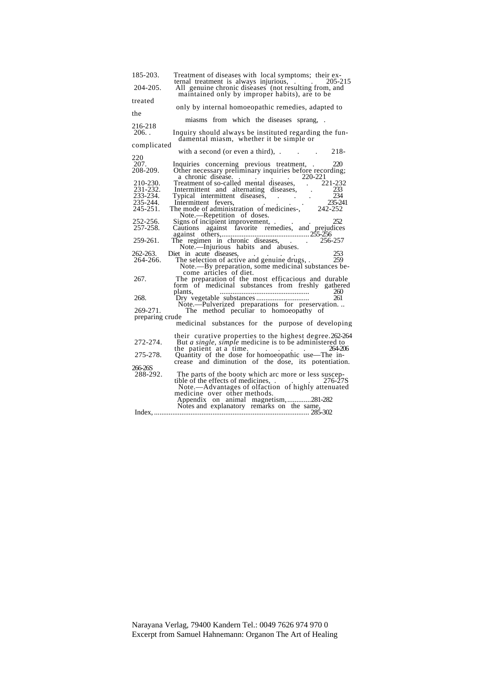| 185-203.                  | Treatment of diseases with local symptoms; their ex-                                                      |  |  |  |
|---------------------------|-----------------------------------------------------------------------------------------------------------|--|--|--|
| 204-205.                  | 205-215<br>ternal treatment is always injurious,<br>All genuine chronic diseases (not resulting from, and |  |  |  |
|                           | maintained only by improper habits), are to be                                                            |  |  |  |
| treated                   |                                                                                                           |  |  |  |
| the                       | only by internal homoeopathic remedies, adapted to                                                        |  |  |  |
|                           | miasms from which the diseases sprang,                                                                    |  |  |  |
| 216-218                   |                                                                                                           |  |  |  |
| $206.$ .                  | Inquiry should always be instituted regarding the fun-<br>damental miasm, whether it be simple or         |  |  |  |
| complicated               |                                                                                                           |  |  |  |
| 220                       | $\therefore$ 218-<br>with a second (or even a third), .                                                   |  |  |  |
| $\frac{207}{208-209}$ .   | 220<br>Inquiries concerning previous treatment,                                                           |  |  |  |
|                           | Other necessary preliminary inquiries before recording;<br>$220-221$<br>a chronic disease.                |  |  |  |
| 210-230.                  | $\sim 100$ km s $^{-1}$<br>$. 221 - 232$<br>Treatment of so-called mental diseases,                       |  |  |  |
| 231-232                   | Intermittent and alternating diseases,                                                                    |  |  |  |
| 233-234.<br>$235 - 244$ . | Typical intermittent diseases,<br>235-241<br>Intermittent fevers.                                         |  |  |  |
| $245 - 251$ .             | 242-252<br>The mode of administration of medicines-,                                                      |  |  |  |
| 252-256.                  | Note.—Repetition of doses.<br>252                                                                         |  |  |  |
| 257-258.                  | Signs of incipient improvement,.<br>Cautions against favorite remedies, and prejudices                    |  |  |  |
| 259-261.                  | . 255-256<br>against others,<br>256-257<br>The regimen in chronic diseases,                               |  |  |  |
|                           | Note.-Injurious habits and abuses.                                                                        |  |  |  |
| 262-263.<br>264-266.      | 253<br>Diet in acute diseases,<br>259                                                                     |  |  |  |
|                           | The selection of active and genuine drugs, .<br>Note.—By preparation, some medicinal substances be-       |  |  |  |
|                           | come articles of diet.                                                                                    |  |  |  |
| 267.                      | The preparation of the most efficacious and durable<br>form of medicinal substances from freshly gathered |  |  |  |
|                           | 260<br>plants,                                                                                            |  |  |  |
| 268.                      | Dry vegetable substances.<br>261                                                                          |  |  |  |
| 269-271.                  | Note.—Pulverized preparations for preservation<br>The method peculiar to homoeopathy of                   |  |  |  |
| preparing crude           |                                                                                                           |  |  |  |
|                           | medicinal substances for the purpose of developing                                                        |  |  |  |
|                           | their curative properties to the highest degree.262-264                                                   |  |  |  |
| 272-274.                  | But <i>a single, simple</i> medicine is to be administered to<br>264-206<br>the patient at a time.        |  |  |  |
| 275-278.                  | and the state of the state of<br>Quantity of the dose for homoeopathic use—The in-                        |  |  |  |
|                           | crease and diminution of the dose, its potentiation.                                                      |  |  |  |
| 266-26S<br>288-292.       | The parts of the booty which arc more or less suscep-                                                     |  |  |  |
|                           | $276 - 275$<br>tible of the effects of medicines,.                                                        |  |  |  |
|                           | Note.—Advantages of olfaction of highly attenuated                                                        |  |  |  |
|                           | medicine over other methods.<br>$\dots$ 281-282<br>Appendix on animal magnetism,                          |  |  |  |
|                           | Notes and explanatory remarks on the same,                                                                |  |  |  |
| Index, …                  | $.285 - 302$                                                                                              |  |  |  |